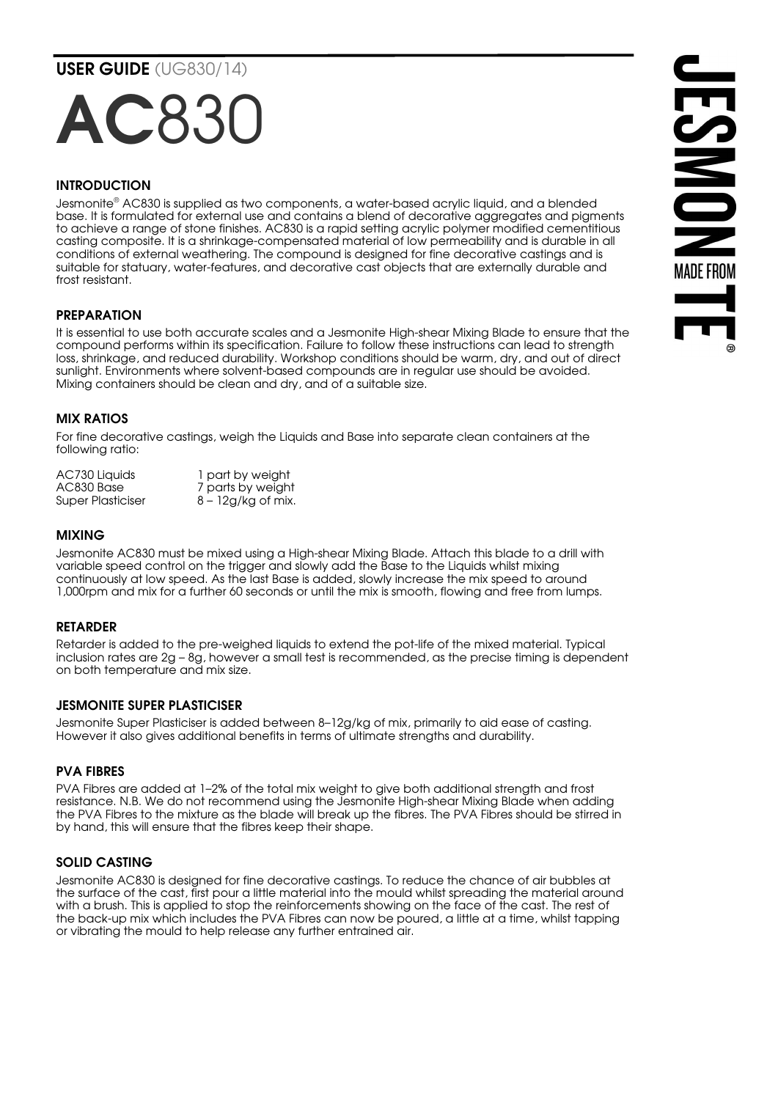USER GUIDE (UG830/14)

# AC830

# **INTRODUCTION**

Jesmonite® AC830 is supplied as two components, a water-based acrylic liquid, and a blended base. It is formulated for external use and contains a blend of decorative aggregates and pigments to achieve a range of stone finishes. AC830 is a rapid setting acrylic polymer modified cementitious casting composite. It is a shrinkage-compensated material of low permeability and is durable in all conditions of external weathering. The compound is designed for fine decorative castings and is suitable for statuary, water-features, and decorative cast objects that are externally durable and frost resistant.

## PREPARATION

It is essential to use both accurate scales and a Jesmonite High-shear Mixing Blade to ensure that the compound performs within its specification. Failure to follow these instructions can lead to strength loss, shrinkage, and reduced durability. Workshop conditions should be warm, dry, and out of direct sunlight. Environments where solvent-based compounds are in regular use should be avoided. Mixing containers should be clean and dry, and of a suitable size.



#### MIX RATIOS

For fine decorative castings, weigh the Liquids and Base into separate clean containers at the following ratio:

AC730 Liquids 1 part by weight<br>AC830 Base 1 parts by weigh AC830 Base 7 parts by weight<br>Super Plasticiser 8 - 12g/kg of mix.  $8 - 12g/kg$  of mix.

#### MIXING

Jesmonite AC830 must be mixed using a High-shear Mixing Blade. Attach this blade to a drill with variable speed control on the trigger and slowly add the Base to the Liquids whilst mixing continuously at low speed. As the last Base is added, slowly increase the mix speed to around 1,000rpm and mix for a further 60 seconds or until the mix is smooth, flowing and free from lumps.

#### RETARDER

Retarder is added to the pre-weighed liquids to extend the pot-life of the mixed material. Typical inclusion rates are 2g – 8g, however a small test is recommended, as the precise timing is dependent on both temperature and mix size.

## JESMONITE SUPER PLASTICISER

Jesmonite Super Plasticiser is added between 8–12g/kg of mix, primarily to aid ease of casting. However it also gives additional benefits in terms of ultimate strengths and durability.

## PVA FIBRES

PVA Fibres are added at 1–2% of the total mix weight to give both additional strength and frost resistance. N.B. We do not recommend using the Jesmonite High-shear Mixing Blade when adding the PVA Fibres to the mixture as the blade will break up the fibres. The PVA Fibres should be stirred in by hand, this will ensure that the fibres keep their shape.

#### SOLID CASTING

Jesmonite AC830 is designed for fine decorative castings. To reduce the chance of air bubbles at the surface of the cast, first pour a little material into the mould whilst spreading the material around with a brush. This is applied to stop the reinforcements showing on the face of the cast. The rest of the back-up mix which includes the PVA Fibres can now be poured, a little at a time, whilst tapping or vibrating the mould to help release any further entrained air.